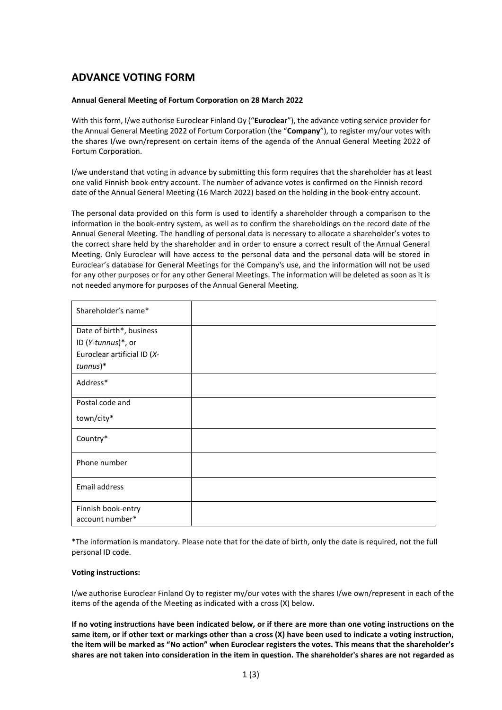# **ADVANCE VOTING FORM**

## **Annual General Meeting of Fortum Corporation on 28 March 2022**

With this form, I/we authorise Euroclear Finland Oy ("**Euroclear**"), the advance voting service provider for the Annual General Meeting 2022 of Fortum Corporation (the "**Company**"), to register my/our votes with the shares I/we own/represent on certain items of the agenda of the Annual General Meeting 2022 of Fortum Corporation.

I/we understand that voting in advance by submitting this form requires that the shareholder has at least one valid Finnish book-entry account. The number of advance votes is confirmed on the Finnish record date of the Annual General Meeting (16 March 2022) based on the holding in the book-entry account.

The personal data provided on this form is used to identify a shareholder through a comparison to the information in the book-entry system, as well as to confirm the shareholdings on the record date of the Annual General Meeting. The handling of personal data is necessary to allocate a shareholder's votes to the correct share held by the shareholder and in order to ensure a correct result of the Annual General Meeting. Only Euroclear will have access to the personal data and the personal data will be stored in Euroclear's database for General Meetings for the Company's use, and the information will not be used for any other purposes or for any other General Meetings. The information will be deleted as soon as it is not needed anymore for purposes of the Annual General Meeting.

| Shareholder's name*         |  |
|-----------------------------|--|
| Date of birth*, business    |  |
| ID (Y-tunnus)*, or          |  |
| Euroclear artificial ID (X- |  |
| $tunnus)*$                  |  |
| Address*                    |  |
| Postal code and             |  |
| town/city*                  |  |
| Country*                    |  |
| Phone number                |  |
| Email address               |  |
| Finnish book-entry          |  |
| account number*             |  |

\*The information is mandatory. Please note that for the date of birth, only the date is required, not the full personal ID code.

### **Voting instructions:**

I/we authorise Euroclear Finland Oy to register my/our votes with the shares I/we own/represent in each of the items of the agenda of the Meeting as indicated with a cross (X) below.

**If no voting instructions have been indicated below, or if there are more than one voting instructions on the same item, or if other text or markings other than a cross (X) have been used to indicate a voting instruction, the item will be marked as "No action" when Euroclear registers the votes. This means that the shareholder's shares are not taken into consideration in the item in question. The shareholder's shares are not regarded as**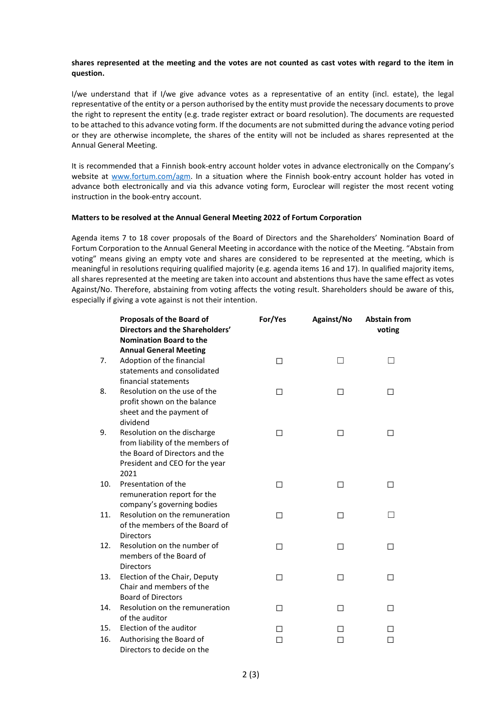### **shares represented at the meeting and the votes are not counted as cast votes with regard to the item in question.**

I/we understand that if I/we give advance votes as a representative of an entity (incl. estate), the legal representative of the entity or a person authorised by the entity must provide the necessary documents to prove the right to represent the entity (e.g. trade register extract or board resolution). The documents are requested to be attached to this advance voting form. If the documents are not submitted during the advance voting period or they are otherwise incomplete, the shares of the entity will not be included as shares represented at the Annual General Meeting.

It is recommended that a Finnish book-entry account holder votes in advance electronically on the Company's website at [www.fortum.com/agm.](http://www.fortum.com/agm) In a situation where the Finnish book-entry account holder has voted in advance both electronically and via this advance voting form, Euroclear will register the most recent voting instruction in the book-entry account.

### **Matters to be resolved at the Annual General Meeting 2022 of Fortum Corporation**

Agenda items 7 to 18 cover proposals of the Board of Directors and the Shareholders' Nomination Board of Fortum Corporation to the Annual General Meeting in accordance with the notice of the Meeting. "Abstain from voting" means giving an empty vote and shares are considered to be represented at the meeting, which is meaningful in resolutions requiring qualified majority (e.g. agenda items 16 and 17). In qualified majority items, all shares represented at the meeting are taken into account and abstentions thus have the same effect as votes Against/No. Therefore, abstaining from voting affects the voting result. Shareholders should be aware of this, especially if giving a vote against is not their intention.

|     | <b>Proposals of the Board of</b><br>Directors and the Shareholders'<br><b>Nomination Board to the</b> | For/Yes      | Against/No   | <b>Abstain from</b><br>voting |
|-----|-------------------------------------------------------------------------------------------------------|--------------|--------------|-------------------------------|
|     | <b>Annual General Meeting</b>                                                                         |              |              |                               |
| 7.  | Adoption of the financial                                                                             | П            | $\mathsf{L}$ | $\overline{\phantom{0}}$      |
|     | statements and consolidated                                                                           |              |              |                               |
|     | financial statements                                                                                  |              |              |                               |
| 8.  | Resolution on the use of the                                                                          | □            | □            | □                             |
|     | profit shown on the balance                                                                           |              |              |                               |
|     | sheet and the payment of                                                                              |              |              |                               |
|     | dividend                                                                                              |              |              |                               |
| 9.  | Resolution on the discharge                                                                           | П            | П            | П                             |
|     | from liability of the members of                                                                      |              |              |                               |
|     | the Board of Directors and the                                                                        |              |              |                               |
|     | President and CEO for the year                                                                        |              |              |                               |
|     | 2021                                                                                                  |              |              |                               |
| 10. | Presentation of the                                                                                   | П            | П            | П                             |
|     | remuneration report for the                                                                           |              |              |                               |
|     | company's governing bodies                                                                            |              |              |                               |
| 11. | Resolution on the remuneration                                                                        | П            | □            | $\overline{\phantom{a}}$      |
|     | of the members of the Board of                                                                        |              |              |                               |
|     | <b>Directors</b>                                                                                      |              |              |                               |
| 12. | Resolution on the number of                                                                           | П            | П            | □                             |
|     | members of the Board of                                                                               |              |              |                               |
|     | <b>Directors</b>                                                                                      |              |              |                               |
| 13. | Election of the Chair, Deputy                                                                         | П            | П            | П                             |
|     | Chair and members of the                                                                              |              |              |                               |
|     | <b>Board of Directors</b>                                                                             |              |              |                               |
| 14. | Resolution on the remuneration                                                                        | П            | П            | П                             |
|     | of the auditor                                                                                        |              |              |                               |
| 15. | Election of the auditor                                                                               | $\mathsf{L}$ | ΙI           | П                             |
| 16. | Authorising the Board of                                                                              |              |              | П                             |
|     | Directors to decide on the                                                                            |              |              |                               |